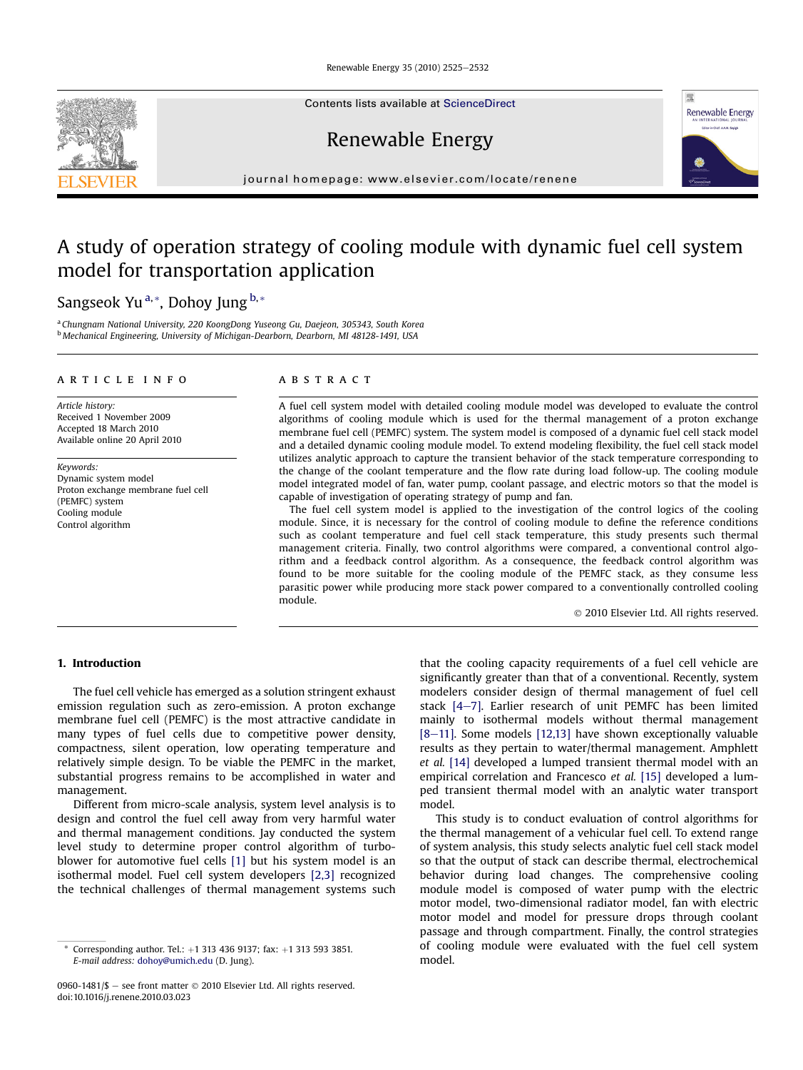Renewable Energy 35 (2010) 2525-2532

Contents lists available at ScienceDirect

Renewable Energy

journal homepage: [www.elsevier.com/locate/renene](http://www.elsevier.com/locate/renene)

## A study of operation strategy of cooling module with dynamic fuel cell system model for transportation application

## Sangseok Yu<sup>a,\*</sup>, Dohoy Jung<sup>b,\*</sup>

<sup>a</sup> Chungnam National University, 220 KoongDong Yuseong Gu, Daejeon, 305343, South Korea b Mechanical Engineering, University of Michigan-Dearborn, Dearborn, MI 48128-1491, USA

#### article info

Article history: Received 1 November 2009 Accepted 18 March 2010 Available online 20 April 2010

Keywords: Dynamic system model Proton exchange membrane fuel cell (PEMFC) system Cooling module Control algorithm

### ABSTRACT

A fuel cell system model with detailed cooling module model was developed to evaluate the control algorithms of cooling module which is used for the thermal management of a proton exchange membrane fuel cell (PEMFC) system. The system model is composed of a dynamic fuel cell stack model and a detailed dynamic cooling module model. To extend modeling flexibility, the fuel cell stack model utilizes analytic approach to capture the transient behavior of the stack temperature corresponding to the change of the coolant temperature and the flow rate during load follow-up. The cooling module model integrated model of fan, water pump, coolant passage, and electric motors so that the model is capable of investigation of operating strategy of pump and fan.

The fuel cell system model is applied to the investigation of the control logics of the cooling module. Since, it is necessary for the control of cooling module to define the reference conditions such as coolant temperature and fuel cell stack temperature, this study presents such thermal management criteria. Finally, two control algorithms were compared, a conventional control algorithm and a feedback control algorithm. As a consequence, the feedback control algorithm was found to be more suitable for the cooling module of the PEMFC stack, as they consume less parasitic power while producing more stack power compared to a conventionally controlled cooling module.

2010 Elsevier Ltd. All rights reserved.

#### 1. Introduction

The fuel cell vehicle has emerged as a solution stringent exhaust emission regulation such as zero-emission. A proton exchange membrane fuel cell (PEMFC) is the most attractive candidate in many types of fuel cells due to competitive power density, compactness, silent operation, low operating temperature and relatively simple design. To be viable the PEMFC in the market, substantial progress remains to be accomplished in water and management.

Different from micro-scale analysis, system level analysis is to design and control the fuel cell away from very harmful water and thermal management conditions. Jay conducted the system level study to determine proper control algorithm of turboblower for automotive fuel cells [\[1\]](#page--1-0) but his system model is an isothermal model. Fuel cell system developers [\[2,3\]](#page--1-0) recognized the technical challenges of thermal management systems such

0960-1481/\$ - see front matter  $\odot$  2010 Elsevier Ltd. All rights reserved. doi:10.1016/j.renene.2010.03.023

that the cooling capacity requirements of a fuel cell vehicle are significantly greater than that of a conventional. Recently, system modelers consider design of thermal management of fuel cell stack  $[4-7]$  $[4-7]$ . Earlier research of unit PEMFC has been limited mainly to isothermal models without thermal management  $[8-11]$  $[8-11]$ . Some models  $[12,13]$  have shown exceptionally valuable results as they pertain to water/thermal management. Amphlett et al. [\[14\]](#page--1-0) developed a lumped transient thermal model with an empirical correlation and Francesco et al. [\[15\]](#page--1-0) developed a lumped transient thermal model with an analytic water transport model.

This study is to conduct evaluation of control algorithms for the thermal management of a vehicular fuel cell. To extend range of system analysis, this study selects analytic fuel cell stack model so that the output of stack can describe thermal, electrochemical behavior during load changes. The comprehensive cooling module model is composed of water pump with the electric motor model, two-dimensional radiator model, fan with electric motor model and model for pressure drops through coolant passage and through compartment. Finally, the control strategies of cooling module were evaluated with the fuel cell system model.





Corresponding author. Tel.:  $+1$  313 436 9137; fax:  $+1$  313 593 3851. E-mail address: [dohoy@umich.edu](mailto:dohoy@umich.edu) (D. Jung).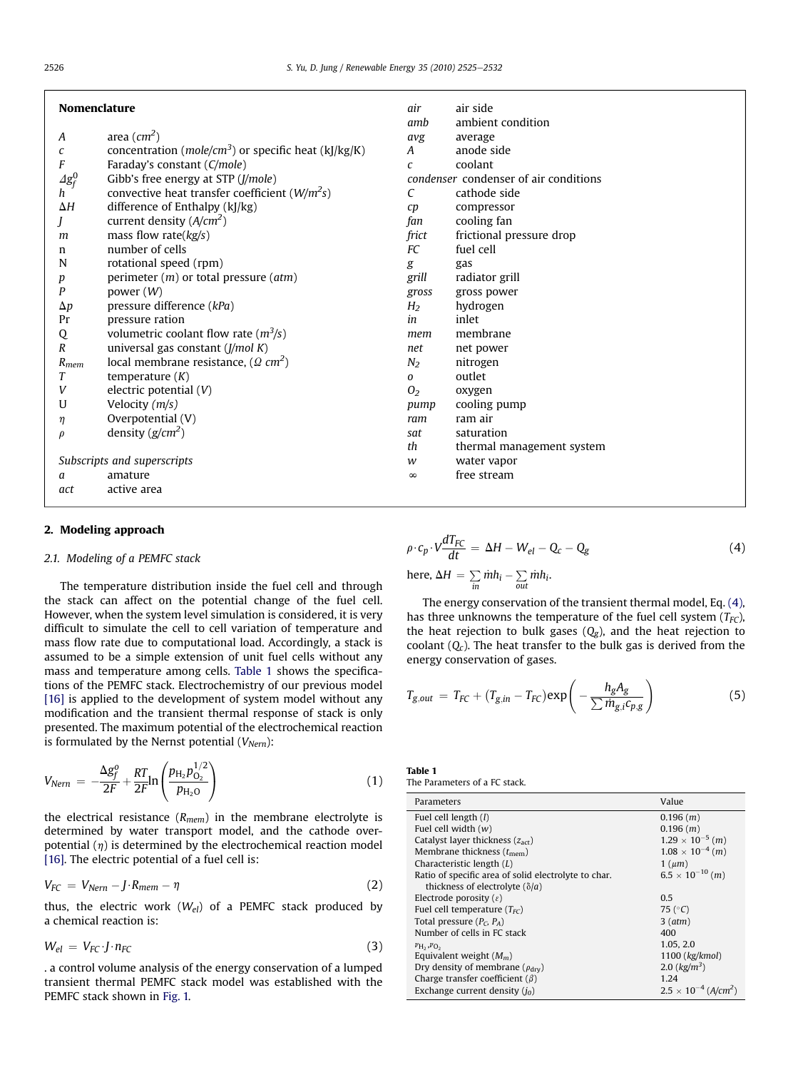| <b>Nomenclature</b>         |                                                                  | air                                   | air side                  |  |
|-----------------------------|------------------------------------------------------------------|---------------------------------------|---------------------------|--|
|                             |                                                                  | amb                                   | ambient condition         |  |
| A                           | area $(cm2)$                                                     | avg                                   | average                   |  |
| с                           | concentration (mole/cm <sup>3</sup> ) or specific heat (kJ/kg/K) | A                                     | anode side                |  |
| F                           | Faraday's constant (C/mole)                                      | $\mathcal{C}$                         | coolant                   |  |
| $\varDelta g^0_f$           | Gibb's free energy at STP (J/mole)                               | condenser condenser of air conditions |                           |  |
| h                           | convective heat transfer coefficient ( $W/m2s$ )                 | $\mathcal{C}_{\mathcal{C}}$           | cathode side              |  |
| $\Delta H$                  | difference of Enthalpy (kJ/kg)                                   | cp                                    | compressor                |  |
|                             | current density $(A/cm2)$                                        | fan                                   | cooling fan               |  |
| m                           | mass flow rate( $kg/s$ )                                         | frict                                 | frictional pressure drop  |  |
| n                           | number of cells                                                  | FC                                    | fuel cell                 |  |
| N                           | rotational speed (rpm)                                           | g                                     | gas                       |  |
| р                           | perimeter $(m)$ or total pressure $(atm)$                        | grill                                 | radiator grill            |  |
| $\boldsymbol{P}$            | power $(W)$                                                      | gross                                 | gross power               |  |
| $\Delta p$                  | pressure difference (kPa)                                        | H <sub>2</sub>                        | hydrogen                  |  |
| Pr                          | pressure ration                                                  | in                                    | inlet                     |  |
| Q                           | volumetric coolant flow rate $(m^3/s)$                           | mem                                   | membrane                  |  |
| $\boldsymbol{R}$            | universal gas constant (J/mol K)                                 | net                                   | net power                 |  |
| $R_{mem}$                   | local membrane resistance, $(\Omega \text{ cm}^2)$               | $N_2$                                 | nitrogen                  |  |
| T                           | temperature $(K)$                                                | 0                                     | outlet                    |  |
| V                           | electric potential $(V)$                                         | 0 <sub>2</sub>                        | oxygen                    |  |
| U                           | Velocity $(m/s)$                                                 | pump                                  | cooling pump              |  |
| $\eta$                      | Overpotential (V)                                                | ram                                   | ram air                   |  |
| $\rho$                      | density $(g/cm2)$                                                | sat                                   | saturation                |  |
|                             |                                                                  | th                                    | thermal management system |  |
| Subscripts and superscripts |                                                                  | w                                     | water vapor               |  |
| a                           | amature                                                          | $\infty$                              | free stream               |  |
| act                         | active area                                                      |                                       |                           |  |

#### 2. Modeling approach

### 2.1. Modeling of a PEMFC stack

The temperature distribution inside the fuel cell and through the stack can affect on the potential change of the fuel cell. However, when the system level simulation is considered, it is very difficult to simulate the cell to cell variation of temperature and mass flow rate due to computational load. Accordingly, a stack is assumed to be a simple extension of unit fuel cells without any mass and temperature among cells. Table 1 shows the specifications of the PEMFC stack. Electrochemistry of our previous model [\[16\]](#page--1-0) is applied to the development of system model without any modification and the transient thermal response of stack is only presented. The maximum potential of the electrochemical reaction is formulated by the Nernst potential  $(V_{Nern})$ :

$$
V_{Nern} = -\frac{\Delta g_f^o}{2F} + \frac{RT}{2F} \ln \left( \frac{p_{H_2} p_{O_2}^{1/2}}{p_{H_2 O}} \right) \tag{1}
$$

the electrical resistance  $(R_{mem})$  in the membrane electrolyte is determined by water transport model, and the cathode overpotential  $(\eta)$  is determined by the electrochemical reaction model [\[16\].](#page--1-0) The electric potential of a fuel cell is:

$$
V_{FC} = V_{Nern} - J \cdot R_{mem} - \eta \tag{2}
$$

thus, the electric work  $(W_{el})$  of a PEMFC stack produced by a chemical reaction is:

$$
W_{el} = V_{FC} \cdot J \cdot n_{FC} \tag{3}
$$

. a control volume analysis of the energy conservation of a lumped transient thermal PEMFC stack model was established with the PEMFC stack shown in [Fig. 1.](#page--1-0)

$$
\rho \cdot c_p \cdot V \frac{dT_{FC}}{dt} = \Delta H - W_{el} - Q_c - Q_g
$$
\nhere,  $\Delta H = \sum_{in} \dot{m} h_i - \sum_{out} \dot{m} h_i.$  (4)

The energy conservation of the transient thermal model, Eq. (4), has three unknowns the temperature of the fuel cell system  $(T_{FC})$ , the heat rejection to bulk gases  $(Q_g)$ , and the heat rejection to coolant  $(Q<sub>c</sub>)$ . The heat transfer to the bulk gas is derived from the energy conservation of gases.

$$
T_{g,out} = T_{FC} + (T_{g,in} - T_{FC}) \exp\left(-\frac{h_g A_g}{\sum m_{g,i} c_{p,g}}\right)
$$
(5)

| Table 1 |                               |  |
|---------|-------------------------------|--|
|         | The Parameters of a FC stack. |  |

| Parameters                                                                                    | Value                                     |
|-----------------------------------------------------------------------------------------------|-------------------------------------------|
| Fuel cell length (1)                                                                          | 0.196(m)                                  |
| Fuel cell width $(w)$                                                                         | 0.196(m)                                  |
| Catalyst layer thickness $(zact)$                                                             | $1.29 \times 10^{-5}$ ( <i>m</i> )        |
| Membrane thickness $(t_{\text{mem}})$                                                         | $1.08 \times 10^{-4}$ ( <i>m</i> )        |
| Characteristic length $(L)$                                                                   | $1 \, (\mu m)$                            |
| Ratio of specific area of solid electrolyte to char.<br>thickness of electrolyte $(\delta/a)$ | $6.5 \times 10^{-10}$ ( <i>m</i> )        |
| Electrode porosity $(\varepsilon)$                                                            | 0.5                                       |
| Fuel cell temperature $(T_{FC})$                                                              | 75 ( $\degree$ C)                         |
| Total pressure $(P_C, P_A)$                                                                   | $3$ (atm)                                 |
| Number of cells in FC stack                                                                   | 400                                       |
| $v_{\text{H}_2}$ , $v_{\text{O}_2}$                                                           | 1.05, 2.0                                 |
| Equivalent weight $(M_m)$                                                                     | $1100$ ( $kg/kmol$ )                      |
| Dry density of membrane ( $\rho_{\text{dry}}$ )                                               | 2.0 $(kg/m^3)$                            |
| Charge transfer coefficient $(\beta)$                                                         | 1.24                                      |
| Exchange current density $(i_0)$                                                              | $2.5 \times 10^{-4}$ (A/cm <sup>2</sup> ) |